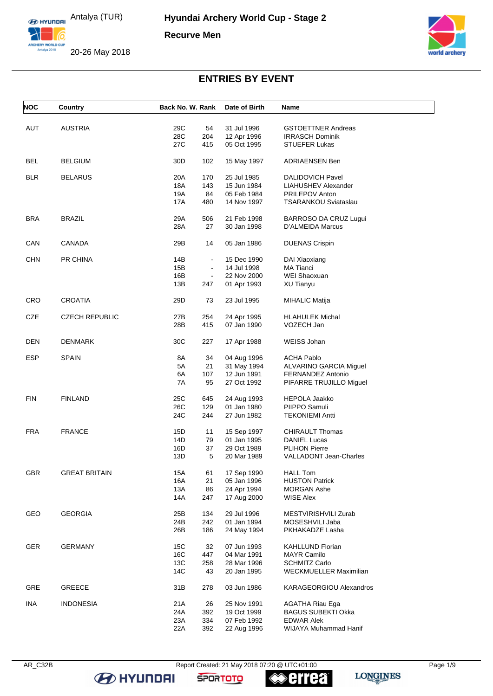

20-26 May 2018



# **ENTRIES BY EVENT**

| <b>NOC</b> | Country               | Back No. W. Rank      | Date of Birth              | Name                          |
|------------|-----------------------|-----------------------|----------------------------|-------------------------------|
|            |                       |                       |                            |                               |
| <b>AUT</b> | <b>AUSTRIA</b>        | 29C<br>54             | 31 Jul 1996                | <b>GSTOETTNER Andreas</b>     |
|            |                       | 28C<br>204            | 12 Apr 1996                | <b>IRRASCH Dominik</b>        |
|            |                       | 27C<br>415            | 05 Oct 1995                | <b>STUEFER Lukas</b>          |
| BEL        | <b>BELGIUM</b>        | 30D<br>102            | 15 May 1997                | <b>ADRIAENSEN Ben</b>         |
| <b>BLR</b> | <b>BELARUS</b>        | 20A<br>170            | 25 Jul 1985                | <b>DALIDOVICH Pavel</b>       |
|            |                       | 18A<br>143            | 15 Jun 1984                | LIAHUSHEV Alexander           |
|            |                       | 19A<br>84             | 05 Feb 1984                | PRILEPOV Anton                |
|            |                       | 17A<br>480            | 14 Nov 1997                | TSARANKOU Sviataslau          |
| <b>BRA</b> | <b>BRAZIL</b>         | 29A<br>506            | 21 Feb 1998                | BARROSO DA CRUZ Lugui         |
|            |                       | 28A<br>27             | 30 Jan 1998                | D'ALMEIDA Marcus              |
|            |                       |                       |                            |                               |
| CAN        | <b>CANADA</b>         | 29B<br>14             | 05 Jan 1986                | <b>DUENAS Crispin</b>         |
| <b>CHN</b> | PR CHINA              | 14B<br>$\blacksquare$ | 15 Dec 1990                | DAI Xiaoxiang                 |
|            |                       | 15B<br>$\blacksquare$ | 14 Jul 1998                | <b>MA Tianci</b>              |
|            |                       | 16B<br>$\blacksquare$ | 22 Nov 2000                | WEI Shaoxuan                  |
|            |                       | 13B<br>247            | 01 Apr 1993                | <b>XU Tianyu</b>              |
| <b>CRO</b> | <b>CROATIA</b>        | 29D<br>73             | 23 Jul 1995                | <b>MIHALIC Matija</b>         |
|            |                       |                       |                            |                               |
| CZE        | <b>CZECH REPUBLIC</b> | 27B<br>254            | 24 Apr 1995                | <b>HLAHULEK Michal</b>        |
|            |                       | 28B<br>415            | 07 Jan 1990                | VOZECH Jan                    |
| <b>DEN</b> | <b>DENMARK</b>        | 30C<br>227            | 17 Apr 1988                | WEISS Johan                   |
|            |                       |                       |                            |                               |
| <b>ESP</b> | <b>SPAIN</b>          | 8A<br>34              | 04 Aug 1996                | ACHA Pablo                    |
|            |                       | 5A<br>21              | 31 May 1994                | ALVARINO GARCIA Miguel        |
|            |                       | 6A<br>107             | 12 Jun 1991                | FERNANDEZ Antonio             |
|            |                       | 7A<br>95              | 27 Oct 1992                | PIFARRE TRUJILLO Miguel       |
| <b>FIN</b> | <b>FINLAND</b>        | 25C<br>645            | 24 Aug 1993                | <b>HEPOLA Jaakko</b>          |
|            |                       | 26C<br>129            | 01 Jan 1980                | PIIPPO Samuli                 |
|            |                       | 24C<br>244            | 27 Jun 1982                | <b>TEKONIEMI Antti</b>        |
| <b>FRA</b> | <b>FRANCE</b>         | 15D                   |                            | <b>CHIRAULT Thomas</b>        |
|            |                       | 11<br>14D<br>79       | 15 Sep 1997<br>01 Jan 1995 | <b>DANIEL Lucas</b>           |
|            |                       | 16D<br>37             | 29 Oct 1989                | <b>PLIHON Pierre</b>          |
|            |                       | 13D<br>5              | 20 Mar 1989                | VALLADONT Jean-Charles        |
|            |                       |                       |                            |                               |
| <b>GBR</b> | <b>GREAT BRITAIN</b>  | 15A<br>61             | 17 Sep 1990                | <b>HALL Tom</b>               |
|            |                       | 16A<br>21             | 05 Jan 1996                | <b>HUSTON Patrick</b>         |
|            |                       | 13A<br>86             | 24 Apr 1994                | <b>MORGAN Ashe</b>            |
|            |                       | 14A<br>247            | 17 Aug 2000                | <b>WISE Alex</b>              |
| GEO        | <b>GEORGIA</b>        | 25B<br>134            | 29 Jul 1996                | MESTVIRISHVILI Zurab          |
|            |                       | 24B<br>242            | 01 Jan 1994                | MOSESHVILI Jaba               |
|            |                       | 26B<br>186            | 24 May 1994                | PKHAKADZE Lasha               |
|            |                       |                       |                            |                               |
| <b>GER</b> | <b>GERMANY</b>        | 15C<br>32             | 07 Jun 1993<br>04 Mar 1991 | <b>KAHLLUND Florian</b>       |
|            |                       | 16C<br>447            |                            | <b>MAYR Camilo</b>            |
|            |                       | 13C<br>258            | 28 Mar 1996                | <b>SCHMITZ Carlo</b>          |
|            |                       | 14C<br>43             | 20 Jan 1995                | <b>WECKMUELLER Maximilian</b> |
| <b>GRE</b> | <b>GREECE</b>         | 31B<br>278            | 03 Jun 1986                | KARAGEORGIOU Alexandros       |
| <b>INA</b> | <b>INDONESIA</b>      | 21A<br>26             | 25 Nov 1991                | AGATHA Riau Ega               |
|            |                       | 24A<br>392            | 19 Oct 1999                | <b>BAGUS SUBEKTI Okka</b>     |
|            |                       | 23A<br>334            | 07 Feb 1992                | <b>EDWAR Alek</b>             |
|            |                       | 22A<br>392            | 22 Aug 1996                | WIJAYA Muhammad Hanif         |

**B** HYUNDAI

AR\_C32B Report Created: 21 May 2018 07:20 @ UTC+01:00 Page 1/9

**SPORTOTO** 

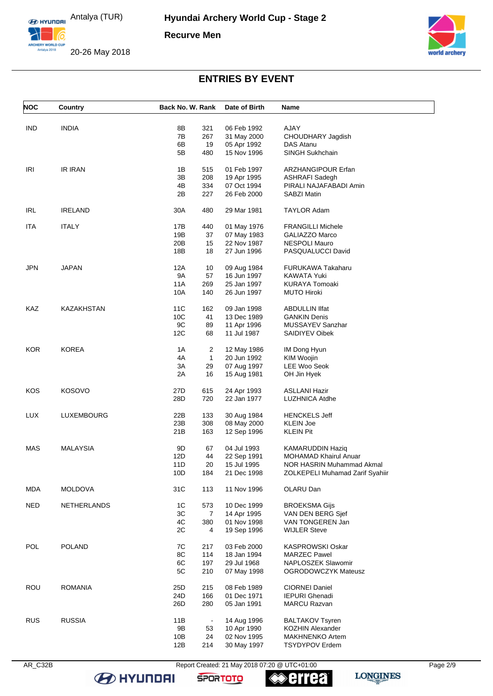

20-26 May 2018



### **ENTRIES BY EVENT**

| <b>NOC</b> | Country            | Back No. W. Rank |                | Date of Birth | Name                            |
|------------|--------------------|------------------|----------------|---------------|---------------------------------|
|            |                    |                  |                |               |                                 |
| <b>IND</b> | <b>INDIA</b>       | 8B               | 321            | 06 Feb 1992   | AJAY                            |
|            |                    | 7B               | 267            | 31 May 2000   | CHOUDHARY Jagdish               |
|            |                    | 6В               | 19             | 05 Apr 1992   | DAS Atanu                       |
|            |                    | 5B               | 480            | 15 Nov 1996   | <b>SINGH Sukhchain</b>          |
| <b>IRI</b> | IR IRAN            | 1B               | 515            | 01 Feb 1997   | <b>ARZHANGIPOUR Erfan</b>       |
|            |                    | 3B               | 208            |               |                                 |
|            |                    |                  |                | 19 Apr 1995   | <b>ASHRAFI Sadegh</b>           |
|            |                    | 4B               | 334            | 07 Oct 1994   | PIRALI NAJAFABADI Amin          |
|            |                    | 2Β               | 227            | 26 Feb 2000   | <b>SABZI Matin</b>              |
| <b>IRL</b> | <b>IRELAND</b>     | 30A              | 480            | 29 Mar 1981   | <b>TAYLOR Adam</b>              |
| <b>ITA</b> | <b>ITALY</b>       | 17B              | 440            | 01 May 1976   | <b>FRANGILLI Michele</b>        |
|            |                    | 19B              | 37             | 07 May 1983   | GALIAZZO Marco                  |
|            |                    | 20B              | 15             | 22 Nov 1987   | <b>NESPOLI Mauro</b>            |
|            |                    | 18B              | 18             | 27 Jun 1996   | PASQUALUCCI David               |
| JPN        | <b>JAPAN</b>       | 12A              | 10             | 09 Aug 1984   | FURUKAWA Takaharu               |
|            |                    | <b>9A</b>        | 57             | 16 Jun 1997   | KAWATA Yuki                     |
|            |                    | <b>11A</b>       | 269            | 25 Jan 1997   | <b>KURAYA Tomoaki</b>           |
|            |                    |                  |                |               |                                 |
|            |                    | 10A              | 140            | 26 Jun 1997   | <b>MUTO Hiroki</b>              |
| KAZ        | KAZAKHSTAN         | 11C              | 162            | 09 Jan 1998   | <b>ABDULLIN IIfat</b>           |
|            |                    | 10C              | 41             | 13 Dec 1989   | <b>GANKIN Denis</b>             |
|            |                    | 9C               | 89             | 11 Apr 1996   | MUSSAYEV Sanzhar                |
|            |                    | 12C              | 68             | 11 Jul 1987   | <b>SAIDIYEV Oibek</b>           |
|            |                    |                  |                |               |                                 |
| <b>KOR</b> | <b>KOREA</b>       | 1A               | 2              | 12 May 1986   | IM Dong Hyun                    |
|            |                    | 4A               | $\mathbf{1}$   | 20 Jun 1992   | KIM Woojin                      |
|            |                    | 3A               | 29             | 07 Aug 1997   | <b>LEE Woo Seok</b>             |
|            |                    | 2A               | 16             | 15 Aug 1981   | OH Jin Hyek                     |
| KOS        | <b>KOSOVO</b>      | 27D              | 615            | 24 Apr 1993   | <b>ASLLANI Hazir</b>            |
|            |                    |                  |                |               |                                 |
|            |                    | 28D              | 720            | 22 Jan 1977   | LUZHNICA Atdhe                  |
| <b>LUX</b> | LUXEMBOURG         | 22B              | 133            | 30 Aug 1984   | <b>HENCKELS Jeff</b>            |
|            |                    | 23B              | 308            | 08 May 2000   | <b>KLEIN Joe</b>                |
|            |                    | 21B              | 163            | 12 Sep 1996   | <b>KLEIN Pit</b>                |
| MAS        | <b>MALAYSIA</b>    | 9D               | 67             | 04 Jul 1993   | <b>KAMARUDDIN Haziq</b>         |
|            |                    | 12D              | 44             | 22 Sep 1991   | <b>MOHAMAD Khairul Anuar</b>    |
|            |                    | 11D              | 20             | 15 Jul 1995   | NOR HASRIN Muhammad Akmal       |
|            |                    |                  |                |               |                                 |
|            |                    | 10D              | 184            | 21 Dec 1998   | ZOLKEPELI Muhamad Zarif Syahiir |
| MDA        | <b>MOLDOVA</b>     | 31C              | 113            | 11 Nov 1996   | OLARU Dan                       |
| <b>NED</b> | <b>NETHERLANDS</b> | 1C               | 573            | 10 Dec 1999   | <b>BROEKSMA Gijs</b>            |
|            |                    | 3C               | 7              | 14 Apr 1995   | VAN DEN BERG Sjef               |
|            |                    | 4C               | 380            | 01 Nov 1998   | VAN TONGEREN Jan                |
|            |                    | 2C               | 4              | 19 Sep 1996   | <b>WIJLER Steve</b>             |
| <b>POL</b> | <b>POLAND</b>      | 7C               | 217            | 03 Feb 2000   | <b>KASPROWSKI Oskar</b>         |
|            |                    | 8C               | 114            | 18 Jan 1994   | <b>MARZEC Pawel</b>             |
|            |                    | 6C               |                |               |                                 |
|            |                    |                  | 197            | 29 Jul 1968   | NAPLOSZEK Slawomir              |
|            |                    | 5C               | 210            | 07 May 1998   | <b>OGRODOWCZYK Mateusz</b>      |
| <b>ROU</b> | <b>ROMANIA</b>     | 25D              | 215            | 08 Feb 1989   | <b>CIORNEI Daniel</b>           |
|            |                    | 24D              | 166            | 01 Dec 1971   | <b>IEPURI Ghenadi</b>           |
|            |                    | 26D              | 280            | 05 Jan 1991   | <b>MARCU Razvan</b>             |
| <b>RUS</b> | <b>RUSSIA</b>      | 11B              | $\blacksquare$ | 14 Aug 1996   | <b>BALTAKOV Tsyren</b>          |
|            |                    | 9B               | 53             | 10 Apr 1990   | <b>KOZHIN Alexander</b>         |
|            |                    | 10B              | 24             | 02 Nov 1995   | <b>MAKHNENKO Artem</b>          |
|            |                    | 12B              | 214            |               | <b>TSYDYPOV Erdem</b>           |
|            |                    |                  |                | 30 May 1997   |                                 |

**B** HYUNDAI

AR\_C32B Report Created: 21 May 2018 07:20 @ UTC+01:00 Page 2/9

**SPORTOTO** 

**errea**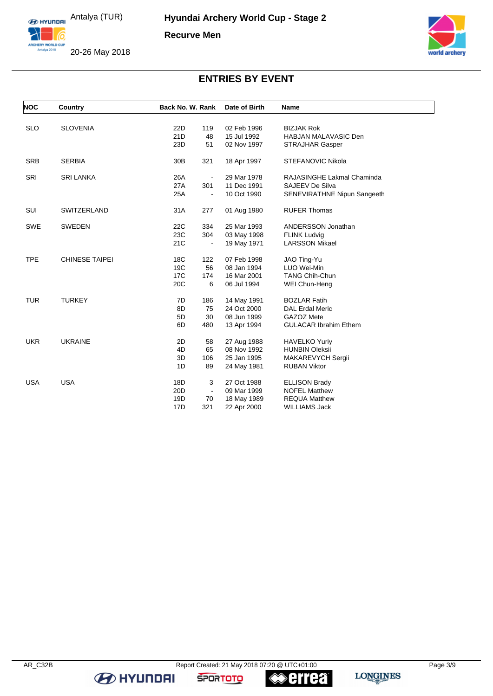

20-26 May 2018



# **ENTRIES BY EVENT**

| <b>NOC</b> | Country               | Back No. W. Rank |                | Date of Birth | <b>Name</b>                  |
|------------|-----------------------|------------------|----------------|---------------|------------------------------|
|            |                       |                  |                |               |                              |
| <b>SLO</b> | <b>SLOVENIA</b>       | 22D              | 119            | 02 Feb 1996   | <b>BIZJAK Rok</b>            |
|            |                       | 21D              | 48             | 15 Jul 1992   | <b>HABJAN MALAVASIC Den</b>  |
|            |                       | 23D              | 51             | 02 Nov 1997   | <b>STRAJHAR Gasper</b>       |
| <b>SRB</b> | <b>SERBIA</b>         | 30 <sub>B</sub>  | 321            | 18 Apr 1997   | <b>STEFANOVIC Nikola</b>     |
| <b>SRI</b> | <b>SRI LANKA</b>      | 26A              |                | 29 Mar 1978   | RAJASINGHE Lakmal Chaminda   |
|            |                       | 27A              | 301            | 11 Dec 1991   | <b>SAJEEV De Silva</b>       |
|            |                       | 25A              |                | 10 Oct 1990   | SENEVIRATHNE Nipun Sangeeth  |
| SUI        | <b>SWITZERLAND</b>    | 31A              | 277            | 01 Aug 1980   | <b>RUFER Thomas</b>          |
| SWE        | <b>SWEDEN</b>         | 22C              | 334            | 25 Mar 1993   | ANDERSSON Jonathan           |
|            |                       | 23C              | 304            | 03 May 1998   | <b>FLINK Ludvig</b>          |
|            |                       | 21C              |                | 19 May 1971   | <b>LARSSON Mikael</b>        |
| <b>TPE</b> | <b>CHINESE TAIPEI</b> | 18 <sub>C</sub>  | 122            | 07 Feb 1998   | JAO Ting-Yu                  |
|            |                       | 19C              | 56             | 08 Jan 1994   | LUO Wei-Min                  |
|            |                       | 17C              | 174            | 16 Mar 2001   | <b>TANG Chih-Chun</b>        |
|            |                       | 20C              | 6              | 06 Jul 1994   | WEI Chun-Heng                |
| <b>TUR</b> | <b>TURKEY</b>         | 7D               | 186            | 14 May 1991   | <b>BOZLAR Fatih</b>          |
|            |                       | 8D               | 75             | 24 Oct 2000   | <b>DAL Erdal Meric</b>       |
|            |                       | 5D               | 30             | 08 Jun 1999   | GAZOZ Mete                   |
|            |                       | 6D               | 480            | 13 Apr 1994   | <b>GULACAR Ibrahim Ethem</b> |
| <b>UKR</b> | <b>UKRAINE</b>        | 2D               | 58             | 27 Aug 1988   | <b>HAVELKO Yuriy</b>         |
|            |                       | 4D               | 65             | 08 Nov 1992   | <b>HUNBIN Oleksii</b>        |
|            |                       | 3D               | 106            | 25 Jan 1995   | MAKAREVYCH Sergii            |
|            |                       | 1D               | 89             | 24 May 1981   | <b>RUBAN Viktor</b>          |
| <b>USA</b> | <b>USA</b>            | 18D              | 3              | 27 Oct 1988   | <b>ELLISON Brady</b>         |
|            |                       | 20D              | $\blacksquare$ | 09 Mar 1999   | <b>NOFEL Matthew</b>         |
|            |                       | 19D              | 70             | 18 May 1989   | <b>REQUA Matthew</b>         |
|            |                       | 17D              | 321            | 22 Apr 2000   | <b>WILLIAMS Jack</b>         |

**B** HYUNDAI

**SPORTOTO** 

**errea**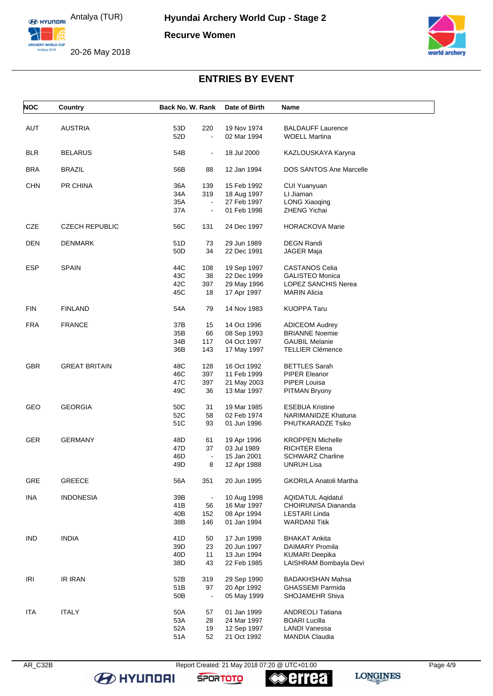

20-26 May 2018



# **ENTRIES BY EVENT**

| <b>NOC</b> | Country               | Back No. W. Rank      | Date of Birth | <b>Name</b>                    |
|------------|-----------------------|-----------------------|---------------|--------------------------------|
|            |                       |                       |               |                                |
| AUT        | <b>AUSTRIA</b>        | 53D<br>220            | 19 Nov 1974   | <b>BALDAUFF Laurence</b>       |
|            |                       | 52D<br>$\blacksquare$ | 02 Mar 1994   | <b>WOELL Martina</b>           |
| <b>BLR</b> | <b>BELARUS</b>        | 54B<br>$\blacksquare$ | 18 Jul 2000   | KAZLOUSKAYA Karyna             |
| <b>BRA</b> | <b>BRAZIL</b>         | 56B<br>88             | 12 Jan 1994   | <b>DOS SANTOS Ane Marcelle</b> |
|            |                       |                       |               |                                |
| <b>CHN</b> | PR CHINA              | 36A<br>139            | 15 Feb 1992   | CUI Yuanyuan                   |
|            |                       | 34A<br>319            | 18 Aug 1997   | LI Jiaman                      |
|            |                       | 35A<br>$\blacksquare$ | 27 Feb 1997   | <b>LONG Xiaoqing</b>           |
|            |                       | 37A<br>$\Box$         | 01 Feb 1998   | <b>ZHENG Yichai</b>            |
| <b>CZE</b> | <b>CZECH REPUBLIC</b> | 56C<br>131            | 24 Dec 1997   | <b>HORACKOVA Marie</b>         |
| <b>DEN</b> | <b>DENMARK</b>        | 51D<br>73             | 29 Jun 1989   | <b>DEGN Randi</b>              |
|            |                       | 50 <sub>D</sub><br>34 | 22 Dec 1991   | JAGER Maja                     |
|            |                       |                       |               |                                |
| <b>ESP</b> | <b>SPAIN</b>          | 44C<br>108            | 19 Sep 1997   | CASTANOS Celia                 |
|            |                       | 43C<br>38             | 22 Dec 1999   | <b>GALISTEO Monica</b>         |
|            |                       | 397<br>42C            | 29 May 1996   | LOPEZ SANCHIS Nerea            |
|            |                       | 45C<br>18             | 17 Apr 1997   | <b>MARIN Alicia</b>            |
| <b>FIN</b> | <b>FINLAND</b>        | 54A<br>79             | 14 Nov 1983   | <b>KUOPPA Taru</b>             |
|            |                       |                       |               |                                |
| <b>FRA</b> | <b>FRANCE</b>         | 37B<br>15             | 14 Oct 1996   | <b>ADICEOM Audrey</b>          |
|            |                       | 35B<br>66             | 08 Sep 1993   | <b>BRIANNE Noemie</b>          |
|            |                       | 34B<br>117            | 04 Oct 1997   | <b>GAUBIL Melanie</b>          |
|            |                       | 36B<br>143            | 17 May 1997   | <b>TELLIER Clémence</b>        |
| <b>GBR</b> | <b>GREAT BRITAIN</b>  | 48C<br>128            | 16 Oct 1992   | <b>BETTLES Sarah</b>           |
|            |                       | 46C<br>397            | 11 Feb 1999   | PIPER Eleanor                  |
|            |                       | 47C<br>397            | 21 May 2003   | PIPER Louisa                   |
|            |                       | 49C<br>36             | 13 Mar 1997   | PITMAN Bryony                  |
|            |                       |                       |               |                                |
| GEO        | <b>GEORGIA</b>        | 50C<br>31             | 19 Mar 1985   | <b>ESEBUA Kristine</b>         |
|            |                       | 52C<br>58             | 02 Feb 1974   | NARIMANIDZE Khatuna            |
|            |                       | 51C<br>93             | 01 Jun 1996   | PHUTKARADZE Tsiko              |
| <b>GER</b> | <b>GERMANY</b>        | 48D<br>61             | 19 Apr 1996   | <b>KROPPEN Michelle</b>        |
|            |                       |                       |               |                                |
|            |                       | 47D<br>37             | 03 Jul 1989   | <b>RICHTER Elena</b>           |
|            |                       | 46D<br>$\blacksquare$ | 15 Jan 2001   | <b>SCHWARZ Charline</b>        |
|            |                       | 49D<br>8              | 12 Apr 1988   | <b>UNRUH Lisa</b>              |
| GRE        | <b>GREECE</b>         | 56A<br>351            | 20 Jun 1995   | <b>GKORILA Anatoli Martha</b>  |
| <b>INA</b> | <b>INDONESIA</b>      | 39B<br>$\blacksquare$ | 10 Aug 1998   | <b>AQIDATUL Agidatul</b>       |
|            |                       | 41B<br>56             | 16 Mar 1997   | CHOIRUNISA Diananda            |
|            |                       | 40B<br>152            | 08 Apr 1994   | <b>LESTARI Linda</b>           |
|            |                       | 38B<br>146            | 01 Jan 1994   | <b>WARDANI Titik</b>           |
|            |                       |                       |               |                                |
| <b>IND</b> | <b>INDIA</b>          | 41D<br>50             | 17 Jun 1998   | <b>BHAKAT Ankita</b>           |
|            |                       | 39D<br>23             | 20 Jun 1997   | <b>DAIMARY Promila</b>         |
|            |                       | 40 <sub>D</sub><br>11 | 13 Jun 1994   | <b>KUMARI Deepika</b>          |
|            |                       | 38D<br>43             | 22 Feb 1985   | LAISHRAM Bombayla Devi         |
|            |                       |                       |               |                                |
| <b>IRI</b> | <b>IR IRAN</b>        | 52B<br>319            | 29 Sep 1990   | <b>BADAKHSHAN Mahsa</b>        |
|            |                       | 51B<br>97             | 20 Apr 1992   | <b>GHASSEMI Parmida</b>        |
|            |                       | 50B<br>$\blacksquare$ | 05 May 1999   | SHOJAMEHR Shiva                |
| <b>ITA</b> | <b>ITALY</b>          | 50A<br>57             | 01 Jan 1999   | <b>ANDREOLI Tatiana</b>        |
|            |                       |                       |               |                                |
|            |                       | 53A<br>28             | 24 Mar 1997   | <b>BOARI Lucilla</b>           |
|            |                       | 52A<br>19             | 12 Sep 1997   | LANDI Vanessa                  |
|            |                       | 52<br>51A             | 21 Oct 1992   | <b>MANDIA Claudia</b>          |

AR\_C32B Report Created: 21 May 2018 07:20 @ UTC+01:00 Page 4/9





**errea** 

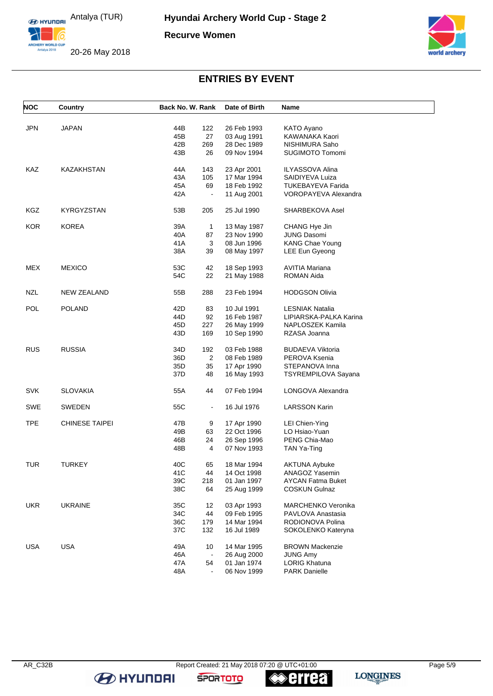

20-26 May 2018



# **ENTRIES BY EVENT**

| <b>NOC</b> | Country               | Back No. W. Rank      | Date of Birth              | Name                   |
|------------|-----------------------|-----------------------|----------------------------|------------------------|
|            |                       |                       |                            |                        |
| <b>JPN</b> | <b>JAPAN</b>          | 44B<br>122            | 26 Feb 1993                | KATO Ayano             |
|            |                       | 45B<br>27             | 03 Aug 1991                | KAWANAKA Kaori         |
|            |                       | 42B<br>269            | 28 Dec 1989                | NISHIMURA Saho         |
|            |                       | 43B<br>26             | 09 Nov 1994                | SUGIMOTO Tomomi        |
| KAZ        | KAZAKHSTAN            | 44 A<br>143           | 23 Apr 2001                | ILYASSOVA Alina        |
|            |                       | 43A<br>105            | 17 Mar 1994                | SAIDIYEVA Luiza        |
|            |                       | 45A<br>69             | 18 Feb 1992                | TUKEBAYEVA Farida      |
|            |                       | 42A<br>$\blacksquare$ | 11 Aug 2001                | VOROPAYEVA Alexandra   |
| KGZ        | <b>KYRGYZSTAN</b>     | 53B<br>205            | 25 Jul 1990                | SHARBEKOVA Asel        |
| <b>KOR</b> | <b>KOREA</b>          | 39A<br>$\mathbf{1}$   | 13 May 1987                | CHANG Hye Jin          |
|            |                       | 40A<br>87             | 23 Nov 1990                | <b>JUNG Dasomi</b>     |
|            |                       | 41 A<br>3             | 08 Jun 1996                | KANG Chae Young        |
|            |                       | 38A<br>39             | 08 May 1997                | LEE Eun Gyeong         |
| MEX        |                       | 53C<br>42             |                            | AVITIA Mariana         |
|            | <b>MEXICO</b>         | 54C<br>22             | 18 Sep 1993<br>21 May 1988 | ROMAN Aida             |
|            |                       |                       |                            |                        |
| <b>NZL</b> | NEW ZEALAND           | 55B<br>288            | 23 Feb 1994                | <b>HODGSON Olivia</b>  |
| POL        | <b>POLAND</b>         | 42D<br>83             | 10 Jul 1991                | LESNIAK Natalia        |
|            |                       | 44D<br>92             | 16 Feb 1987                | LIPIARSKA-PALKA Karina |
|            |                       | 45D<br>227            | 26 May 1999                | NAPLOSZEK Kamila       |
|            |                       | 43D<br>169            | 10 Sep 1990                | RZASA Joanna           |
| <b>RUS</b> | <b>RUSSIA</b>         | 34D<br>192            | 03 Feb 1988                | BUDAEVA Viktoria       |
|            |                       | $\overline{2}$<br>36D | 08 Feb 1989                | PEROVA Ksenia          |
|            |                       | 35D<br>35             | 17 Apr 1990                | STEPANOVA Inna         |
|            |                       | 37D<br>48             | 16 May 1993                | TSYREMPILOVA Sayana    |
| <b>SVK</b> | <b>SLOVAKIA</b>       | 55A<br>44             | 07 Feb 1994                | LONGOVA Alexandra      |
| SWE        | SWEDEN                | 55C<br>$\blacksquare$ | 16 Jul 1976                | LARSSON Karin          |
|            |                       |                       |                            |                        |
| <b>TPE</b> | <b>CHINESE TAIPEI</b> | 47B<br>9              | 17 Apr 1990                | LEI Chien-Ying         |
|            |                       | 49B<br>63             | 22 Oct 1996                | LO Hsiao-Yuan          |
|            |                       | 24<br>46B             | 26 Sep 1996                | PENG Chia-Mao          |
|            |                       | 48B<br>4              | 07 Nov 1993                | TAN Ya-Ting            |
| <b>TUR</b> | <b>TURKEY</b>         | 40C<br>65             | 18 Mar 1994                | AKTUNA Aybuke          |
|            |                       | 41C<br>44             | 14 Oct 1998                | ANAGOZ Yasemin         |
|            |                       | 39C<br>218            | 01 Jan 1997                | AYCAN Fatma Buket      |
|            |                       | 38C<br>64             | 25 Aug 1999                | <b>COSKUN Gulnaz</b>   |
| <b>UKR</b> | <b>UKRAINE</b>        | 35C<br>12             | 03 Apr 1993                | MARCHENKO Veronika     |
|            |                       | 34C<br>44             | 09 Feb 1995                | PAVLOVA Anastasia      |
|            |                       | 36C<br>179            | 14 Mar 1994                | RODIONOVA Polina       |
|            |                       | 37C<br>132            | 16 Jul 1989                | SOKOLENKO Kateryna     |
| <b>USA</b> | <b>USA</b>            | 49A<br>10             | 14 Mar 1995                | <b>BROWN Mackenzie</b> |
|            |                       | 46A                   | 26 Aug 2000                | <b>JUNG Amy</b>        |
|            |                       | 47A<br>54             | 01 Jan 1974                | <b>LORIG Khatuna</b>   |
|            |                       | 48A                   | 06 Nov 1999                | <b>PARK Danielle</b>   |
|            |                       |                       |                            |                        |

**B** HYUNDAI

**SPORTOTO**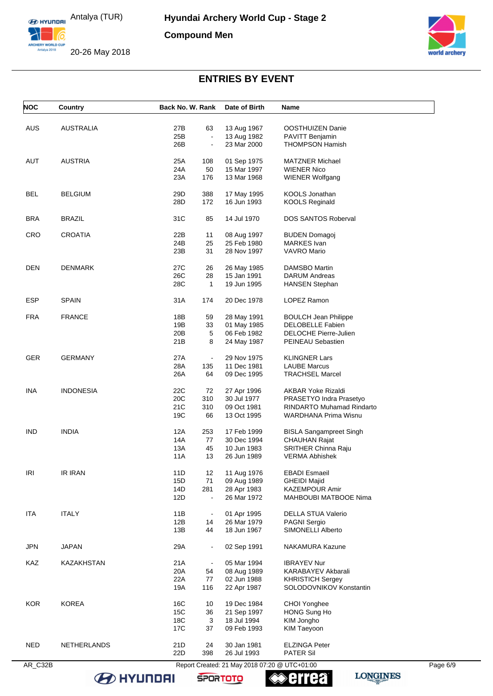

20-26 May 2018



# **ENTRIES BY EVENT**

| <b>AUS</b> | <b>AUSTRALIA</b> | 27B        | 63             | 13 Aug 1967                | OOSTHUIZEN Danie                         |  |
|------------|------------------|------------|----------------|----------------------------|------------------------------------------|--|
|            |                  |            |                |                            |                                          |  |
|            |                  | 25B        | $\blacksquare$ | 13 Aug 1982                | PAVITT Benjamin                          |  |
|            |                  | 26B        | $\overline{a}$ | 23 Mar 2000                | <b>THOMPSON Hamish</b>                   |  |
| AUT        | <b>AUSTRIA</b>   | 25A        | 108            | 01 Sep 1975                | <b>MATZNER Michael</b>                   |  |
|            |                  | 24A        | 50             | 15 Mar 1997                | <b>WIENER Nico</b>                       |  |
|            |                  | 23A        | 176            | 13 Mar 1968                | <b>WIENER Wolfgang</b>                   |  |
| <b>BEL</b> | <b>BELGIUM</b>   | 29D        | 388            | 17 May 1995                | KOOLS Jonathan                           |  |
|            |                  | 28D        | 172            | 16 Jun 1993                | <b>KOOLS Reginald</b>                    |  |
| <b>BRA</b> | <b>BRAZIL</b>    | 31C        | 85             | 14 Jul 1970                | <b>DOS SANTOS Roberval</b>               |  |
| CRO        | CROATIA          | 22B        | 11             | 08 Aug 1997                | <b>BUDEN Domagoj</b>                     |  |
|            |                  | 24B        | 25             | 25 Feb 1980                | <b>MARKES</b> Ivan                       |  |
|            |                  | 23B        | 31             | 28 Nov 1997                | <b>VAVRO Mario</b>                       |  |
| DEN        | <b>DENMARK</b>   | 27C        | 26             | 26 May 1985                | DAMSBO Martin                            |  |
|            |                  | 26C        | 28             | 15 Jan 1991                | DARUM Andreas                            |  |
|            |                  | 28C        | $\mathbf{1}$   | 19 Jun 1995                | <b>HANSEN Stephan</b>                    |  |
| <b>ESP</b> | <b>SPAIN</b>     | 31A        | 174            | 20 Dec 1978                | LOPEZ Ramon                              |  |
| <b>FRA</b> | <b>FRANCE</b>    | 18B        | 59             | 28 May 1991                | <b>BOULCH Jean Philippe</b>              |  |
|            |                  | 19B        | 33             | 01 May 1985                | <b>DELOBELLE Fabien</b>                  |  |
|            |                  | 20B        | 5              | 06 Feb 1982                | DELOCHE Pierre-Julien                    |  |
|            |                  | 21B        | 8              | 24 May 1987                | PEINEAU Sebastien                        |  |
| <b>GER</b> | <b>GERMANY</b>   | 27A        |                | 29 Nov 1975                | <b>KLINGNER Lars</b>                     |  |
|            |                  | 28A        | 135            | 11 Dec 1981                | <b>LAUBE Marcus</b>                      |  |
|            |                  | 26A        | 64             | 09 Dec 1995                | <b>TRACHSEL Marcel</b>                   |  |
| <b>INA</b> | <b>INDONESIA</b> | 22C        | 72             | 27 Apr 1996                | <b>AKBAR Yoke Rizaldi</b>                |  |
|            |                  | 20C        | 310            | 30 Jul 1977                | PRASETYO Indra Prasetyo                  |  |
|            |                  | 21C        | 310            | 09 Oct 1981                | <b>RINDARTO Muhamad Rindarto</b>         |  |
|            |                  | 19C        | 66             | 13 Oct 1995                | WARDHANA Prima Wisnu                     |  |
| IND        | <b>INDIA</b>     | 12A        | 253            | 17 Feb 1999                | <b>BISLA Sangampreet Singh</b>           |  |
|            |                  | 14A        | 77             | 30 Dec 1994                | <b>CHAUHAN Rajat</b>                     |  |
|            |                  | 13A        | 45             | 10 Jun 1983                | <b>SRITHER Chinna Raju</b>               |  |
|            |                  | 11A        | 13             | 26 Jun 1989                | <b>VERMA Abhishek</b>                    |  |
| IRI        | <b>IR IRAN</b>   | 11D        | 12             | 11 Aug 1976                | <b>EBADI</b> Esmaeil                     |  |
|            |                  | 15D        | 71             | 09 Aug 1989                | <b>GHEIDI Majid</b>                      |  |
|            |                  | 14D        | 281            | 28 Apr 1983                | <b>KAZEMPOUR Amir</b>                    |  |
|            |                  | 12D        |                | 26 Mar 1972                | MAHBOUBI MATBOOE Nima                    |  |
| <b>ITA</b> | <b>ITALY</b>     | 11B        |                | 01 Apr 1995                | <b>DELLA STUA Valerio</b>                |  |
|            |                  | 12B        | 14             | 26 Mar 1979                | <b>PAGNI Sergio</b>                      |  |
|            |                  | 13B        | 44             | 18 Jun 1967                | SIMONELLI Alberto                        |  |
| JPN        | JAPAN            | 29A        | $\blacksquare$ | 02 Sep 1991                | NAKAMURA Kazune                          |  |
| KAZ        | KAZAKHSTAN       | 21A        | $\blacksquare$ | 05 Mar 1994                | <b>IBRAYEV Nur</b>                       |  |
|            |                  | 20A        | 54             | 08 Aug 1989                | KARABAYEV Akbarali                       |  |
|            |                  | 22A        | 77             | 02 Jun 1988                | <b>KHRISTICH Sergey</b>                  |  |
|            |                  | 19A        | 116            | 22 Apr 1987                | SOLODOVNIKOV Konstantin                  |  |
| <b>KOR</b> | <b>KOREA</b>     | 16C        | 10             | 19 Dec 1984                | CHOI Yonghee                             |  |
|            |                  | 15C        | 36             | 21 Sep 1997                | HONG Sung Ho                             |  |
|            |                  | 18C        | 3              | 18 Jul 1994                | KIM Jongho                               |  |
|            |                  | 17C        | 37             | 09 Feb 1993                | <b>KIM Taeyoon</b>                       |  |
|            |                  |            |                |                            |                                          |  |
| <b>NED</b> | NETHERLANDS      | 21D<br>22D | 24<br>398      | 30 Jan 1981<br>26 Jul 1993 | <b>ELZINGA Peter</b><br><b>PATER Sil</b> |  |

**B** HYUNDAI

**errea SPORTOTO**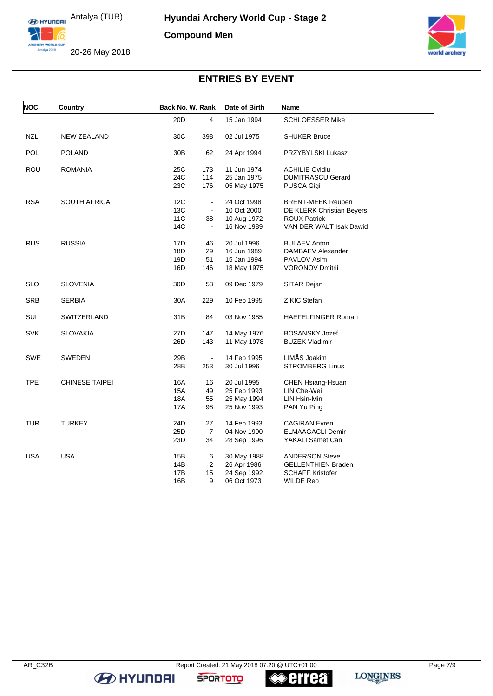

20-26 May 2018



# **ENTRIES BY EVENT**

| <b>NOC</b> | Country               |                 | Back No. W. Rank |             | Name                      |
|------------|-----------------------|-----------------|------------------|-------------|---------------------------|
|            |                       | 20D             | 4                | 15 Jan 1994 | <b>SCHLOESSER Mike</b>    |
| <b>NZL</b> | <b>NEW ZEALAND</b>    | 30C             | 398              | 02 Jul 1975 | <b>SHUKER Bruce</b>       |
| <b>POL</b> | <b>POLAND</b>         | 30 <sub>B</sub> | 62               | 24 Apr 1994 | PRZYBYLSKI Lukasz         |
| ROU        | <b>ROMANIA</b>        | 25C             | 173              | 11 Jun 1974 | <b>ACHILIE Ovidiu</b>     |
|            |                       | 24C             | 114              | 25 Jan 1975 | <b>DUMITRASCU Gerard</b>  |
|            |                       | 23C             | 176              | 05 May 1975 | PUSCA Gigi                |
| RSA        | <b>SOUTH AFRICA</b>   | 12C             | $\blacksquare$   | 24 Oct 1998 | <b>BRENT-MEEK Reuben</b>  |
|            |                       | 13C             | $\blacksquare$   | 10 Oct 2000 | DE KLERK Christian Beyers |
|            |                       | <b>11C</b>      | 38               | 10 Aug 1972 | <b>ROUX Patrick</b>       |
|            |                       | 14C             | $\blacksquare$   | 16 Nov 1989 | VAN DER WALT Isak Dawid   |
| <b>RUS</b> | <b>RUSSIA</b>         | 17D             | 46               | 20 Jul 1996 | <b>BULAEV Anton</b>       |
|            |                       | 18D             | 29               | 16 Jun 1989 | DAMBAEV Alexander         |
|            |                       | 19D             | 51               | 15 Jan 1994 | <b>PAVLOV Asim</b>        |
|            |                       | 16D             | 146              | 18 May 1975 | <b>VORONOV Dmitrii</b>    |
| <b>SLO</b> | <b>SLOVENIA</b>       | 30D             | 53               | 09 Dec 1979 | SITAR Dejan               |
| <b>SRB</b> | <b>SERBIA</b>         | 30A             | 229              | 10 Feb 1995 | <b>ZIKIC Stefan</b>       |
| SUI        | SWITZERLAND           | 31B             | 84               | 03 Nov 1985 | <b>HAEFELFINGER Roman</b> |
| <b>SVK</b> | <b>SLOVAKIA</b>       | 27D             | 147              | 14 May 1976 | <b>BOSANSKY Jozef</b>     |
|            |                       | 26D             | 143              | 11 May 1978 | <b>BUZEK Vladimir</b>     |
| SWE        | <b>SWEDEN</b>         | 29B             | $\sim$           | 14 Feb 1995 | LIMÅS Joakim              |
|            |                       | 28B             | 253              | 30 Jul 1996 | <b>STROMBERG Linus</b>    |
| <b>TPE</b> | <b>CHINESE TAIPEI</b> | 16A             | 16               | 20 Jul 1995 | CHEN Hsiang-Hsuan         |
|            |                       | 15A             | 49               | 25 Feb 1993 | LIN Che-Wei               |
|            |                       | 18A             | 55               | 25 May 1994 | LIN Hsin-Min              |
|            |                       | 17A             | 98               | 25 Nov 1993 | PAN Yu Ping               |
| TUR        | <b>TURKEY</b>         | 24D             | 27               | 14 Feb 1993 | <b>CAGIRAN Evren</b>      |
|            |                       | 25D             | $\overline{7}$   | 04 Nov 1990 | <b>ELMAAGACLI Demir</b>   |
|            |                       | 23D             | 34               | 28 Sep 1996 | YAKALI Samet Can          |
| <b>USA</b> | <b>USA</b>            | 15B             | 6                | 30 May 1988 | <b>ANDERSON Steve</b>     |
|            |                       | 14B             | $\overline{2}$   | 26 Apr 1986 | <b>GELLENTHIEN Braden</b> |
|            |                       | 17B             | 15               | 24 Sep 1992 | <b>SCHAFF Kristofer</b>   |
|            |                       | 16B             | 9                | 06 Oct 1973 | WILDE Reo                 |

**B** HYUNDAI

**SPORTOTO** 

**errea**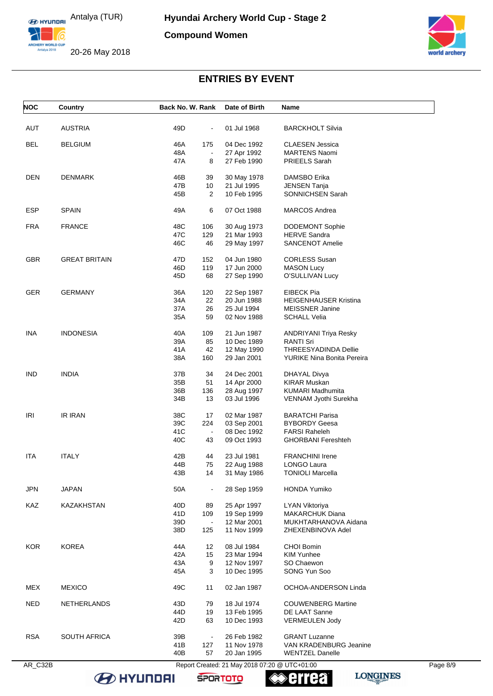

20-26 May 2018



# **ENTRIES BY EVENT**

| <b>NOC</b> | Country              | Back No. W. Rank |                      | Date of Birth              | Name                                              |  |
|------------|----------------------|------------------|----------------------|----------------------------|---------------------------------------------------|--|
| <b>AUT</b> | <b>AUSTRIA</b>       | 49D              | $\blacksquare$       | 01 Jul 1968                | <b>BARCKHOLT Silvia</b>                           |  |
| BEL        | <b>BELGIUM</b>       | 46A              | 175                  | 04 Dec 1992                | <b>CLAESEN Jessica</b>                            |  |
|            |                      | 48A              | $\blacksquare$       | 27 Apr 1992                | <b>MARTENS Naomi</b>                              |  |
|            |                      | 47A              | 8                    | 27 Feb 1990                | <b>PRIEELS Sarah</b>                              |  |
| DEN        | <b>DENMARK</b>       | 46B              | 39                   | 30 May 1978                | DAMSBO Erika                                      |  |
|            |                      | 47B              | 10                   | 21 Jul 1995                | <b>JENSEN Tanja</b>                               |  |
|            |                      | 45B              | 2                    | 10 Feb 1995                | SONNICHSEN Sarah                                  |  |
| <b>ESP</b> | <b>SPAIN</b>         | 49A              | 6                    | 07 Oct 1988                | <b>MARCOS Andrea</b>                              |  |
| <b>FRA</b> | <b>FRANCE</b>        | 48C              | 106                  | 30 Aug 1973                | <b>DODEMONT Sophie</b>                            |  |
|            |                      | 47C              | 129                  | 21 Mar 1993                | <b>HERVE Sandra</b>                               |  |
|            |                      | 46C              | 46                   | 29 May 1997                | <b>SANCENOT Amelie</b>                            |  |
| <b>GBR</b> | <b>GREAT BRITAIN</b> | 47D              | 152                  | 04 Jun 1980                | <b>CORLESS Susan</b>                              |  |
|            |                      | 46D              | 119                  | 17 Jun 2000                | <b>MASON Lucy</b>                                 |  |
|            |                      | 45D              | 68                   | 27 Sep 1990                | O'SULLIVAN Lucy                                   |  |
| <b>GER</b> | <b>GERMANY</b>       | 36A              | 120                  | 22 Sep 1987                | <b>EIBECK Pia</b>                                 |  |
|            |                      | 34A              | 22                   | 20 Jun 1988                | <b>HEIGENHAUSER Kristina</b>                      |  |
|            |                      | 37A              | 26                   | 25 Jul 1994                | <b>MEISSNER Janine</b>                            |  |
|            |                      | 35A              | 59                   | 02 Nov 1988                | <b>SCHALL Velia</b>                               |  |
| INA        | <b>INDONESIA</b>     | 40A              | 109                  | 21 Jun 1987                | <b>ANDRIYANI Triya Resky</b>                      |  |
|            |                      | 39A              | 85                   | 10 Dec 1989                | <b>RANTI Sri</b>                                  |  |
|            |                      | 41A              | 42                   | 12 May 1990                | <b>THREESYADINDA Dellie</b>                       |  |
|            |                      | 38A              | 160                  | 29 Jan 2001                | YURIKE Nina Bonita Pereira                        |  |
| IND        | <b>INDIA</b>         | 37B              | 34                   | 24 Dec 2001                | DHAYAL Divya                                      |  |
|            |                      | 35B              | 51                   | 14 Apr 2000                | <b>KIRAR Muskan</b>                               |  |
|            |                      | 36B<br>34B       | 136<br>13            | 28 Aug 1997<br>03 Jul 1996 | <b>KUMARI Madhumita</b><br>VENNAM Jyothi Surekha  |  |
|            |                      |                  |                      |                            |                                                   |  |
| IRI        | IR IRAN              | 38C              | 17                   | 02 Mar 1987                | <b>BARATCHI Parisa</b>                            |  |
|            |                      | 39C              | 224                  | 03 Sep 2001                | <b>BYBORDY Geesa</b>                              |  |
|            |                      | 41C<br>40C       | $\blacksquare$<br>43 | 08 Dec 1992<br>09 Oct 1993 | <b>FARSI Raheleh</b><br><b>GHORBANI Fereshteh</b> |  |
|            | <b>ITALY</b>         |                  |                      | 23 Jul 1981                | <b>FRANCHINI Irene</b>                            |  |
| <b>ITA</b> |                      | 42B<br>44B       | 44<br>75             | 22 Aug 1988                | LONGO Laura                                       |  |
|            |                      | 43B              | 14                   | 31 May 1986                | <b>TONIOLI Marcella</b>                           |  |
| <b>JPN</b> | <b>JAPAN</b>         | 50A              | $\blacksquare$       | 28 Sep 1959                | <b>HONDA Yumiko</b>                               |  |
| KAZ        | KAZAKHSTAN           | 40D              | 89                   | 25 Apr 1997                | <b>LYAN Viktoriya</b>                             |  |
|            |                      | 41D              | 109                  | 19 Sep 1999                | <b>MAKARCHUK Diana</b>                            |  |
|            |                      | 39D              | $\blacksquare$       | 12 Mar 2001                | MUKHTARHANOVA Aidana                              |  |
|            |                      | 38D              | 125                  | 11 Nov 1999                | ZHEXENBINOVA Adel                                 |  |
| <b>KOR</b> | <b>KOREA</b>         | 44A              | 12                   | 08 Jul 1984                | CHOI Bomin                                        |  |
|            |                      | 42A              | 15                   | 23 Mar 1994                | <b>KIM Yunhee</b>                                 |  |
|            |                      | 43A              | 9                    | 12 Nov 1997                | SO Chaewon                                        |  |
|            |                      | 45A              | 3                    | 10 Dec 1995                | SONG Yun Soo                                      |  |
| MEX        | <b>MEXICO</b>        | 49C              | 11                   | 02 Jan 1987                | OCHOA-ANDERSON Linda                              |  |
| <b>NED</b> | NETHERLANDS          | 43D              | 79                   | 18 Jul 1974                | <b>COUWENBERG Martine</b>                         |  |
|            |                      | 44D              | 19                   | 13 Feb 1995                | DE LAAT Sanne                                     |  |
|            |                      | 42D              | 63                   | 10 Dec 1993                | <b>VERMEULEN Jody</b>                             |  |
| <b>RSA</b> | <b>SOUTH AFRICA</b>  | 39B              | $\blacksquare$       | 26 Feb 1982                | <b>GRANT Luzanne</b>                              |  |
|            |                      |                  |                      |                            |                                                   |  |
|            |                      | 41B<br>40B       | 127<br>57            | 11 Nov 1978<br>20 Jan 1995 | VAN KRADENBURG Jeanine<br><b>WENTZEL Danelle</b>  |  |

**B** HYUNDAI

**errea SPORTOTO**